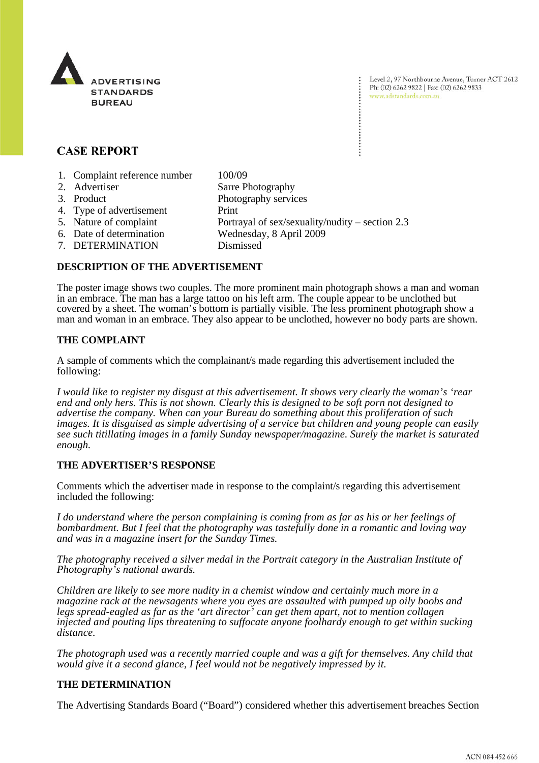

# **CASE REPORT**

- 1. Complaint reference number 100/09
- 2. Advertiser Sarre Photography 3. Product Photography services 4. Type of advertisement Print 5. Nature of complaint Portrayal of sex/sexuality/nudity – section 2.3 6. Date of determination Wednesday, 8 April 2009 7. DETERMINATION Dismissed
- 

# **DESCRIPTION OF THE ADVERTISEMENT**

The poster image shows two couples. The more prominent main photograph shows a man and woman in an embrace. The man has a large tattoo on his left arm. The couple appear to be unclothed but covered by a sheet. The woman's bottom is partially visible. The less prominent photograph show a man and woman in an embrace. They also appear to be unclothed, however no body parts are shown.

#### **THE COMPLAINT**

A sample of comments which the complainant/s made regarding this advertisement included the following:

*I would like to register my disgust at this advertisement. It shows very clearly the woman's 'rear end and only hers. This is not shown. Clearly this is designed to be soft porn not designed to advertise the company. When can your Bureau do something about this proliferation of such images. It is disguised as simple advertising of a service but children and young people can easily see such titillating images in a family Sunday newspaper/magazine. Surely the market is saturated enough.*

## **THE ADVERTISER'S RESPONSE**

Comments which the advertiser made in response to the complaint/s regarding this advertisement included the following:

*I do understand where the person complaining is coming from as far as his or her feelings of bombardment. But I feel that the photography was tastefully done in a romantic and loving way and was in a magazine insert for the Sunday Times.*

*The photography received a silver medal in the Portrait category in the Australian Institute of Photography's national awards.*

*Children are likely to see more nudity in a chemist window and certainly much more in a magazine rack at the newsagents where you eyes are assaulted with pumped up oily boobs and legs spread-eagled as far as the 'art director' can get them apart, not to mention collagen injected and pouting lips threatening to suffocate anyone foolhardy enough to get within sucking distance.* 

*The photograph used was a recently married couple and was a gift for themselves. Any child that would give it a second glance, I feel would not be negatively impressed by it.* 

## **THE DETERMINATION**

The Advertising Standards Board ("Board") considered whether this advertisement breaches Section